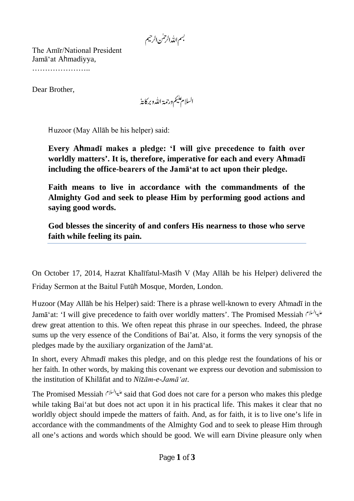The Amīr/National President Jamā'at Ahmadiyya, ………………………

Dear Brother,

السلام عليم ورحمة الله وبركايةُ

Huzoor (May Allāh be his helper) said:

**Every Ahmadī makes a pledge: 'I will give precedence to faith over worldly matters'. It is, therefore, imperative for each and every Ahmadī including the office-bearers of the Jamā'at to act upon their pledge.** 

**Faith means to live in accordance with the commandments of the Almighty God and seek to please Him by performing good actions and saying good words.** 

**God blesses the sincerity of and confers His nearness to those who serve faith while feeling its pain.** 

On October 17, 2014, Hazrat Khalīfatul-Masīh V (May Allāh be his Helper) delivered the Friday Sermon at the Baitul Futūh Mosque, Morden, London.

Huzoor (May Allāh be his Helper) said: There is a phrase well-known to every Ahmadī in the Jamā'at: 'I will give precedence to faith over worldly matters'. The Promised Messiah drew great attention to this. We often repeat this phrase in our speeches. Indeed, the phrase sums up the very essence of the Conditions of Bai'at. Also, it forms the very synopsis of the pledges made by the auxiliary organization of the Jamā'at.

In short, every Ahmadī makes this pledge, and on this pledge rest the foundations of his or her faith. In other words, by making this covenant we express our devotion and submission to the institution of Khilāfat and to *Nizām-e-Jamā'at*.

The Promised Messiah said that God does not care for a person who makes this pledge while taking Bai'at but does not act upon it in his practical life. This makes it clear that no worldly object should impede the matters of faith. And, as for faith, it is to live one's life in accordance with the commandments of the Almighty God and to seek to please Him through all one's actions and words which should be good. We will earn Divine pleasure only when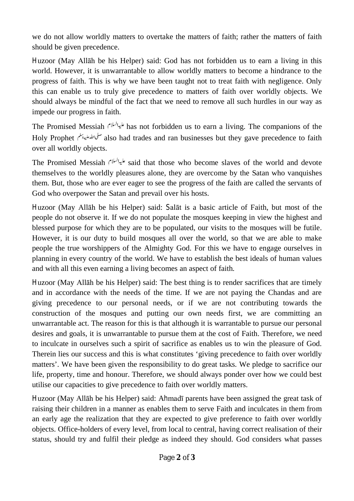we do not allow worldly matters to overtake the matters of faith; rather the matters of faith should be given precedence.

Huzoor (May Allāh be his Helper) said: God has not forbidden us to earn a living in this world. However, it is unwarrantable to allow worldly matters to become a hindrance to the progress of faith. This is why we have been taught not to treat faith with negligence. Only this can enable us to truly give precedence to matters of faith over worldly objects. We should always be mindful of the fact that we need to remove all such hurdles in our way as impede our progress in faith.

The Promised Messiah has not forbidden us to earn a living. The companions of the Holy Prophet also had trades and ran businesses but they gave precedence to faith over all worldly objects.

The Promised Messiah said that those who become slaves of the world and devote themselves to the worldly pleasures alone, they are overcome by the Satan who vanquishes them. But, those who are ever eager to see the progress of the faith are called the servants of God who overpower the Satan and prevail over his hosts.

Huzoor (May Allāh be his Helper) said: Salāt is a basic article of Faith, but most of the people do not observe it. If we do not populate the mosques keeping in view the highest and blessed purpose for which they are to be populated, our visits to the mosques will be futile. However, it is our duty to build mosques all over the world, so that we are able to make people the true worshippers of the Almighty God. For this we have to engage ourselves in planning in every country of the world. We have to establish the best ideals of human values and with all this even earning a living becomes an aspect of faith.

Huzoor (May Allāh be his Helper) said: The best thing is to render sacrifices that are timely and in accordance with the needs of the time. If we are not paying the Chandas and are giving precedence to our personal needs, or if we are not contributing towards the construction of the mosques and putting our own needs first, we are committing an unwarrantable act. The reason for this is that although it is warrantable to pursue our personal desires and goals, it is unwarrantable to pursue them at the cost of Faith. Therefore, we need to inculcate in ourselves such a spirit of sacrifice as enables us to win the pleasure of God. Therein lies our success and this is what constitutes 'giving precedence to faith over worldly matters'. We have been given the responsibility to do great tasks. We pledge to sacrifice our life, property, time and honour. Therefore, we should always ponder over how we could best utilise our capacities to give precedence to faith over worldly matters.

Huzoor (May Allāh be his Helper) said: Ahmadī parents have been assigned the great task of raising their children in a manner as enables them to serve Faith and inculcates in them from an early age the realization that they are expected to give preference to faith over worldly objects. Office-holders of every level, from local to central, having correct realisation of their status, should try and fulfil their pledge as indeed they should. God considers what passes